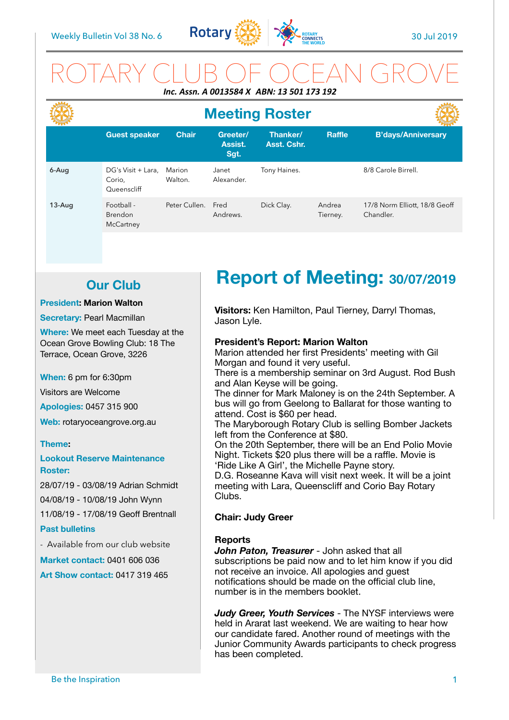

## ROTARY CLUB OF OCEAN GROVE *Inc. Assn. A 0013584 X ABN: 13 501 173 192*

|          | <b>Meeting Roster</b>                       |                   |                             |                         |                    |                                            |
|----------|---------------------------------------------|-------------------|-----------------------------|-------------------------|--------------------|--------------------------------------------|
|          | <b>Guest speaker</b>                        | <b>Chair</b>      | Greeter/<br>Assist.<br>Sgt. | Thanker/<br>Asst. Cshr. | <b>Raffle</b>      | <b>B'days/Anniversary</b>                  |
| 6-Aug    | DG's Visit + Lara,<br>Corio.<br>Queenscliff | Marion<br>Walton. | Janet<br>Alexander.         | Tony Haines.            |                    | 8/8 Carole Birrell.                        |
| $13-Auq$ | Football -<br><b>Brendon</b><br>McCartney   | Peter Cullen.     | Fred<br>Andrews.            | Dick Clay.              | Andrea<br>Tierney. | 17/8 Norm Elliott, 18/8 Geoff<br>Chandler. |

## **Our Club**

#### **President: Marion Walton**

#### **Secretary: Pearl Macmillan**

**Where:** We meet each Tuesday at the Ocean Grove Bowling Club: 18 The Terrace, Ocean Grove, 3226

**When:** 6 pm for 6:30pm

Visitors are Welcome

**Apologies:** 0457 315 900

**Web:** rotaryoceangrove.org.au

#### **Theme:**

**Lookout Reserve Maintenance Roster:** 

28/07/19 - 03/08/19 Adrian Schmidt 04/08/19 - 10/08/19 John Wynn 11/08/19 - 17/08/19 Geoff Brentnall

#### **Past bulletins**

- Available from our club website

**Market contact:** 0401 606 036

**Art Show contact:** 0417 319 465

# **Report of Meeting: 30/07/2019**

**Visitors:** Ken Hamilton, Paul Tierney, Darryl Thomas, Jason Lyle.

#### **President's Report: Marion Walton**

Marion attended her first Presidents' meeting with Gil Morgan and found it very useful.

There is a membership seminar on 3rd August. Rod Bush and Alan Keyse will be going.

The dinner for Mark Maloney is on the 24th September. A bus will go from Geelong to Ballarat for those wanting to attend. Cost is \$60 per head.

The Maryborough Rotary Club is selling Bomber Jackets left from the Conference at \$80.

On the 20th September, there will be an End Polio Movie Night. Tickets \$20 plus there will be a raffle. Movie is 'Ride Like A Girl', the Michelle Payne story.

D.G. Roseanne Kava will visit next week. It will be a joint meeting with Lara, Queenscliff and Corio Bay Rotary Clubs.

#### **Chair: Judy Greer**

#### **Reports**

*John Paton, Treasurer* - John asked that all subscriptions be paid now and to let him know if you did not receive an invoice. All apologies and guest notifications should be made on the official club line, number is in the members booklet.

*Judy Greer, Youth Services* - The NYSF interviews were held in Ararat last weekend. We are waiting to hear how our candidate fared. Another round of meetings with the Junior Community Awards participants to check progress has been completed.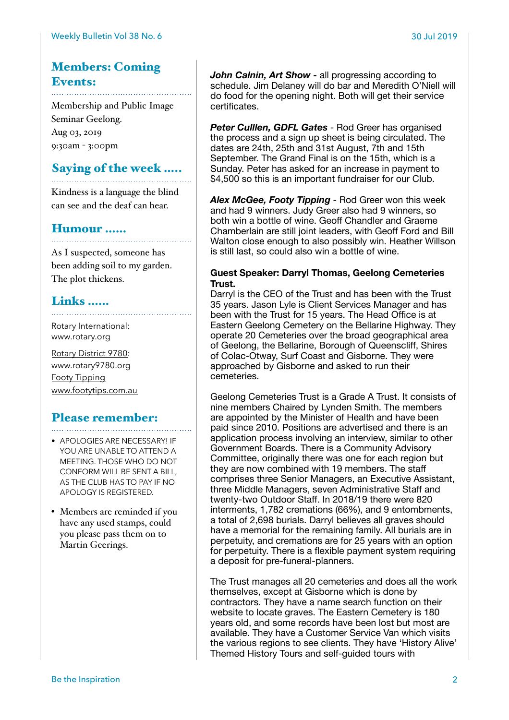## Members: Coming Events:

Membership and Public Image Seminar Geelong. Aug 03, 2019 9:30am - 3:00pm

## Saying of the week …..

Kindness is a language the blind can see and the deaf can hear.

## Humour ……

As I suspected, someone has been adding soil to my garden. The plot thickens.

## Links ……

[Rotary International:](https://www.rotary.org) [www.rotary.org](http://www.rotary.org) 

[Rotary District 9780:](http://rotary9780.org) [www.rotary9780.org](http://www.rotary9780.org)  [Footy Tipping](http://www.footytips.com.au) [www.footytips.com.au](http://www.footytips.com.au)

### Please remember:

- 
- APOLOGIES ARE NECESSARY! IF YOU ARE UNABLE TO ATTEND A MEETING. THOSE WHO DO NOT CONFORM WILL BE SENT A BILL, AS THE CLUB HAS TO PAY IF NO APOLOGY IS REGISTERED.
- Members are reminded if you have any used stamps, could you please pass them on to Martin Geerings.

*John Calnin, Art Show -* all progressing according to schedule. Jim Delaney will do bar and Meredith O'Niell will do food for the opening night. Both will get their service certificates.

*Peter Culllen, GDFL Gates* - Rod Greer has organised the process and a sign up sheet is being circulated. The dates are 24th, 25th and 31st August, 7th and 15th September. The Grand Final is on the 15th, which is a Sunday. Peter has asked for an increase in payment to \$4,500 so this is an important fundraiser for our Club.

*Alex McGee, Footy Tipping* - Rod Greer won this week and had 9 winners. Judy Greer also had 9 winners, so both win a bottle of wine. Geoff Chandler and Graeme Chamberlain are still joint leaders, with Geoff Ford and Bill Walton close enough to also possibly win. Heather Willson is still last, so could also win a bottle of wine.

#### **Guest Speaker: Darryl Thomas, Geelong Cemeteries Trust.**

Darryl is the CEO of the Trust and has been with the Trust 35 years. Jason Lyle is Client Services Manager and has been with the Trust for 15 years. The Head Office is at Eastern Geelong Cemetery on the Bellarine Highway. They operate 20 Cemeteries over the broad geographical area of Geelong, the Bellarine, Borough of Queenscliff, Shires of Colac-Otway, Surf Coast and Gisborne. They were approached by Gisborne and asked to run their cemeteries.

Geelong Cemeteries Trust is a Grade A Trust. It consists of nine members Chaired by Lynden Smith. The members are appointed by the Minister of Health and have been paid since 2010. Positions are advertised and there is an application process involving an interview, similar to other Government Boards. There is a Community Advisory Committee, originally there was one for each region but they are now combined with 19 members. The staff comprises three Senior Managers, an Executive Assistant, three Middle Managers, seven Administrative Staff and twenty-two Outdoor Staff. In 2018/19 there were 820 interments, 1,782 cremations (66%), and 9 entombments, a total of 2,698 burials. Darryl believes all graves should have a memorial for the remaining family. All burials are in perpetuity, and cremations are for 25 years with an option for perpetuity. There is a flexible payment system requiring a deposit for pre-funeral-planners.

The Trust manages all 20 cemeteries and does all the work themselves, except at Gisborne which is done by contractors. They have a name search function on their website to locate graves. The Eastern Cemetery is 180 years old, and some records have been lost but most are available. They have a Customer Service Van which visits the various regions to see clients. They have 'History Alive' Themed History Tours and self-guided tours with